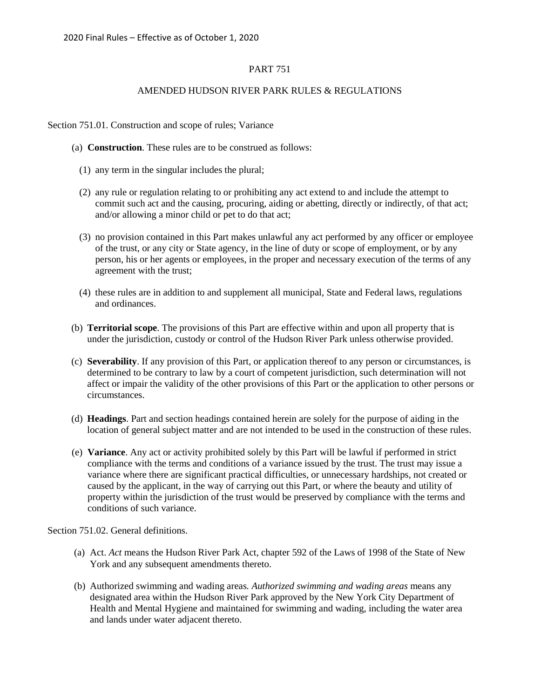# PART 751

#### AMENDED HUDSON RIVER PARK RULES & REGULATIONS

Section 751.01. Construction and scope of rules; Variance

- (a) **Construction**. These rules are to be construed as follows:
	- (1) any term in the singular includes the plural;
	- (2) any rule or regulation relating to or prohibiting any act extend to and include the attempt to commit such act and the causing, procuring, aiding or abetting, directly or indirectly, of that act; and/or allowing a minor child or pet to do that act;
	- (3) no provision contained in this Part makes unlawful any act performed by any officer or employee of the trust, or any city or State agency, in the line of duty or scope of employment, or by any person, his or her agents or employees, in the proper and necessary execution of the terms of any agreement with the trust;
	- (4) these rules are in addition to and supplement all municipal, State and Federal laws, regulations and ordinances.
- (b) **Territorial scope**. The provisions of this Part are effective within and upon all property that is under the jurisdiction, custody or control of the Hudson River Park unless otherwise provided.
- (c) **Severability**. If any provision of this Part, or application thereof to any person or circumstances, is determined to be contrary to law by a court of competent jurisdiction, such determination will not affect or impair the validity of the other provisions of this Part or the application to other persons or circumstances.
- (d) **Headings**. Part and section headings contained herein are solely for the purpose of aiding in the location of general subject matter and are not intended to be used in the construction of these rules.
- (e) **Variance**. Any act or activity prohibited solely by this Part will be lawful if performed in strict compliance with the terms and conditions of a variance issued by the trust. The trust may issue a variance where there are significant practical difficulties, or unnecessary hardships, not created or caused by the applicant, in the way of carrying out this Part, or where the beauty and utility of property within the jurisdiction of the trust would be preserved by compliance with the terms and conditions of such variance.

Section 751.02. General definitions.

- (a) Act. *Act* means the Hudson River Park Act, chapter 592 of the Laws of 1998 of the State of New York and any subsequent amendments thereto.
- (b) Authorized swimming and wading areas*. Authorized swimming and wading areas* means any designated area within the Hudson River Park approved by the New York City Department of Health and Mental Hygiene and maintained for swimming and wading, including the water area and lands under water adjacent thereto.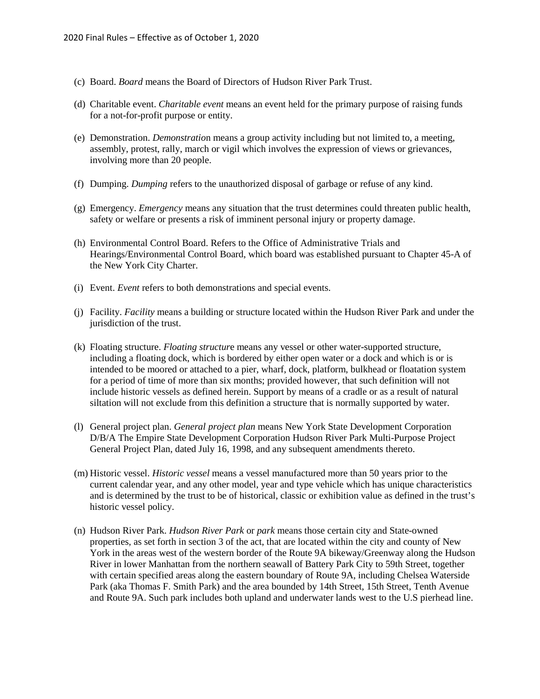- (c) Board. *Board* means the Board of Directors of Hudson River Park Trust.
- (d) Charitable event. *Charitable event* means an event held for the primary purpose of raising funds for a not-for-profit purpose or entity.
- (e) Demonstration. *Demonstratio*n means a group activity including but not limited to, a meeting, assembly, protest, rally, march or vigil which involves the expression of views or grievances, involving more than 20 people.
- (f) Dumping. *Dumping* refers to the unauthorized disposal of garbage or refuse of any kind.
- (g) Emergency. *Emergency* means any situation that the trust determines could threaten public health, safety or welfare or presents a risk of imminent personal injury or property damage.
- (h) Environmental Control Board. Refers to the Office of Administrative Trials and Hearings/Environmental Control Board, which board was established pursuant to Chapter 45-A of the New York City Charter.
- (i) Event. *Event* refers to both demonstrations and special events.
- (j) Facility. *Facility* means a building or structure located within the Hudson River Park and under the jurisdiction of the trust.
- (k) Floating structure. *Floating structur*e means any vessel or other water-supported structure, including a floating dock, which is bordered by either open water or a dock and which is or is intended to be moored or attached to a pier, wharf, dock, platform, bulkhead or floatation system for a period of time of more than six months; provided however, that such definition will not include historic vessels as defined herein. Support by means of a cradle or as a result of natural siltation will not exclude from this definition a structure that is normally supported by water.
- (l) General project plan. *General project plan* means New York State Development Corporation D/B/A The Empire State Development Corporation Hudson River Park Multi-Purpose Project General Project Plan, dated July 16, 1998, and any subsequent amendments thereto.
- (m) Historic vessel. *Historic vessel* means a vessel manufactured more than 50 years prior to the current calendar year, and any other model, year and type vehicle which has unique characteristics and is determined by the trust to be of historical, classic or exhibition value as defined in the trust's historic vessel policy.
- (n) Hudson River Park. *Hudson River Park* or *park* means those certain city and State-owned properties, as set forth in section 3 of the act, that are located within the city and county of New York in the areas west of the western border of the Route 9A bikeway/Greenway along the Hudson River in lower Manhattan from the northern seawall of Battery Park City to 59th Street, together with certain specified areas along the eastern boundary of Route 9A, including Chelsea Waterside Park (aka Thomas F. Smith Park) and the area bounded by 14th Street, 15th Street, Tenth Avenue and Route 9A. Such park includes both upland and underwater lands west to the U.S pierhead line.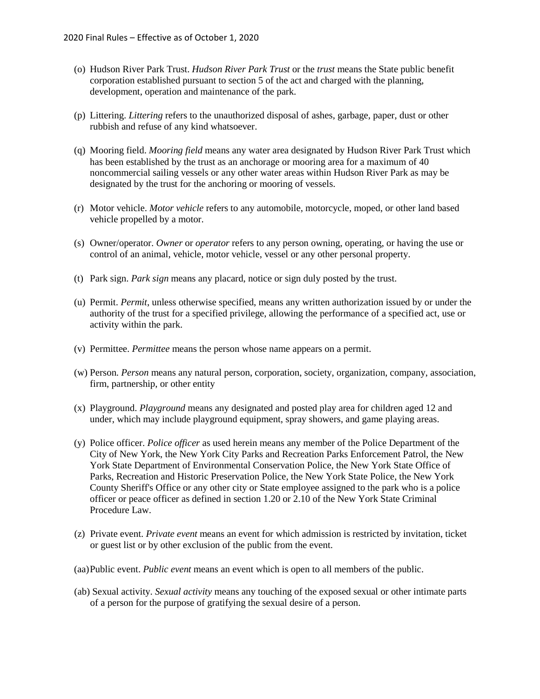- (o) Hudson River Park Trust. *Hudson River Park Trust* or the *trust* means the State public benefit corporation established pursuant to section 5 of the act and charged with the planning, development, operation and maintenance of the park.
- (p) Littering. *Littering* refers to the unauthorized disposal of ashes, garbage, paper, dust or other rubbish and refuse of any kind whatsoever.
- (q) Mooring field. *Mooring field* means any water area designated by Hudson River Park Trust which has been established by the trust as an anchorage or mooring area for a maximum of 40 noncommercial sailing vessels or any other water areas within Hudson River Park as may be designated by the trust for the anchoring or mooring of vessels.
- (r) Motor vehicle. *Motor vehicle* refers to any automobile, motorcycle, moped, or other land based vehicle propelled by a motor.
- (s) Owner/operator. *Owner* or *operator* refers to any person owning, operating, or having the use or control of an animal, vehicle, motor vehicle, vessel or any other personal property.
- (t) Park sign. *Park sign* means any placard, notice or sign duly posted by the trust.
- (u) Permit. *Permit*, unless otherwise specified, means any written authorization issued by or under the authority of the trust for a specified privilege, allowing the performance of a specified act, use or activity within the park.
- (v) Permittee. *Permittee* means the person whose name appears on a permit.
- (w) Person. *Person* means any natural person, corporation, society, organization, company, association, firm, partnership, or other entity
- (x) Playground. *Playground* means any designated and posted play area for children aged 12 and under, which may include playground equipment, spray showers, and game playing areas.
- (y) Police officer. *Police officer* as used herein means any member of the Police Department of the City of New York, the New York City Parks and Recreation Parks Enforcement Patrol, the New York State Department of Environmental Conservation Police, the New York State Office of Parks, Recreation and Historic Preservation Police, the New York State Police, the New York County Sheriff's Office or any other city or State employee assigned to the park who is a police officer or peace officer as defined in section 1.20 or 2.10 of the New York State Criminal Procedure Law.
- (z) Private event. *Private event* means an event for which admission is restricted by invitation, ticket or guest list or by other exclusion of the public from the event.
- (aa)Public event. *Public event* means an event which is open to all members of the public.
- (ab) Sexual activity. *Sexual activity* means any touching of the exposed sexual or other intimate parts of a person for the purpose of gratifying the sexual desire of a person.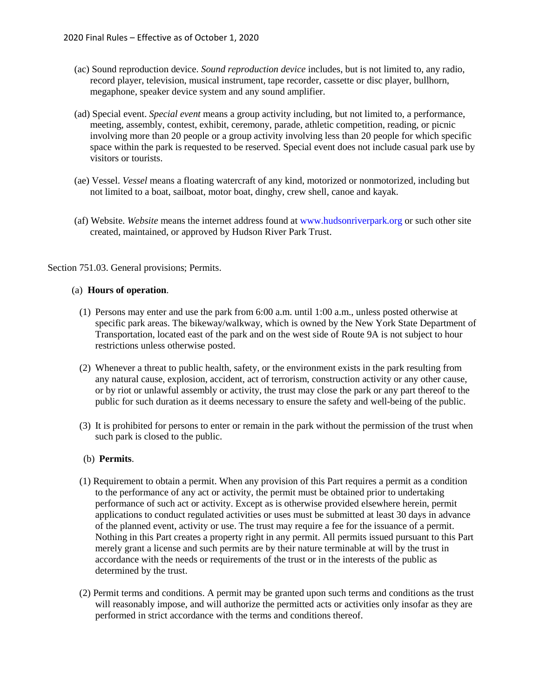- (ac) Sound reproduction device. *Sound reproduction device* includes, but is not limited to, any radio, record player, television, musical instrument, tape recorder, cassette or disc player, bullhorn, megaphone, speaker device system and any sound amplifier.
- (ad) Special event. *Special event* means a group activity including, but not limited to, a performance, meeting, assembly, contest, exhibit, ceremony, parade, athletic competition, reading, or picnic involving more than 20 people or a group activity involving less than 20 people for which specific space within the park is requested to be reserved. Special event does not include casual park use by visitors or tourists.
- (ae) Vessel. *Vessel* means a floating watercraft of any kind, motorized or nonmotorized, including but not limited to a boat, sailboat, motor boat, dinghy, crew shell, canoe and kayak.
- (af) Website. *Website* means the internet address found at [www.hudsonriverpark.org](http://www.hudsonriverpark.org/) or such other site created, maintained, or approved by Hudson River Park Trust.

Section 751.03. General provisions; Permits.

#### (a) **Hours of operation**.

- (1) Persons may enter and use the park from 6:00 a.m. until 1:00 a.m., unless posted otherwise at specific park areas. The bikeway/walkway, which is owned by the New York State Department of Transportation, located east of the park and on the west side of Route 9A is not subject to hour restrictions unless otherwise posted.
- (2) Whenever a threat to public health, safety, or the environment exists in the park resulting from any natural cause, explosion, accident, act of terrorism, construction activity or any other cause, or by riot or unlawful assembly or activity, the trust may close the park or any part thereof to the public for such duration as it deems necessary to ensure the safety and well-being of the public.
- (3) It is prohibited for persons to enter or remain in the park without the permission of the trust when such park is closed to the public.

### (b) **Permits**.

- (1) Requirement to obtain a permit. When any provision of this Part requires a permit as a condition to the performance of any act or activity, the permit must be obtained prior to undertaking performance of such act or activity. Except as is otherwise provided elsewhere herein, permit applications to conduct regulated activities or uses must be submitted at least 30 days in advance of the planned event, activity or use. The trust may require a fee for the issuance of a permit. Nothing in this Part creates a property right in any permit. All permits issued pursuant to this Part merely grant a license and such permits are by their nature terminable at will by the trust in accordance with the needs or requirements of the trust or in the interests of the public as determined by the trust.
- (2) Permit terms and conditions. A permit may be granted upon such terms and conditions as the trust will reasonably impose, and will authorize the permitted acts or activities only insofar as they are performed in strict accordance with the terms and conditions thereof.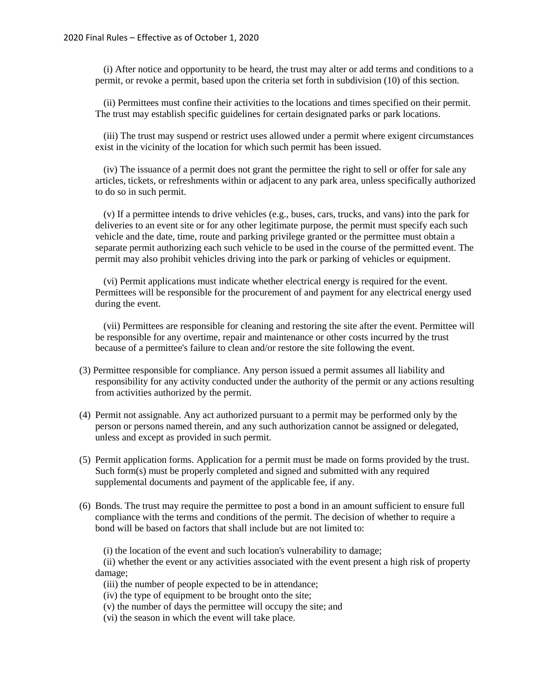(i) After notice and opportunity to be heard, the trust may alter or add terms and conditions to a permit, or revoke a permit, based upon the criteria set forth in subdivision (10) of this section.

(ii) Permittees must confine their activities to the locations and times specified on their permit. The trust may establish specific guidelines for certain designated parks or park locations.

(iii) The trust may suspend or restrict uses allowed under a permit where exigent circumstances exist in the vicinity of the location for which such permit has been issued.

(iv) The issuance of a permit does not grant the permittee the right to sell or offer for sale any articles, tickets, or refreshments within or adjacent to any park area, unless specifically authorized to do so in such permit.

(v) If a permittee intends to drive vehicles (e.g., buses, cars, trucks, and vans) into the park for deliveries to an event site or for any other legitimate purpose, the permit must specify each such vehicle and the date, time, route and parking privilege granted or the permittee must obtain a separate permit authorizing each such vehicle to be used in the course of the permitted event. The permit may also prohibit vehicles driving into the park or parking of vehicles or equipment.

(vi) Permit applications must indicate whether electrical energy is required for the event. Permittees will be responsible for the procurement of and payment for any electrical energy used during the event.

(vii) Permittees are responsible for cleaning and restoring the site after the event. Permittee will be responsible for any overtime, repair and maintenance or other costs incurred by the trust because of a permittee's failure to clean and/or restore the site following the event.

- (3) Permittee responsible for compliance. Any person issued a permit assumes all liability and responsibility for any activity conducted under the authority of the permit or any actions resulting from activities authorized by the permit.
- (4) Permit not assignable. Any act authorized pursuant to a permit may be performed only by the person or persons named therein, and any such authorization cannot be assigned or delegated, unless and except as provided in such permit.
- (5) Permit application forms. Application for a permit must be made on forms provided by the trust. Such form(s) must be properly completed and signed and submitted with any required supplemental documents and payment of the applicable fee, if any.
- (6) Bonds. The trust may require the permittee to post a bond in an amount sufficient to ensure full compliance with the terms and conditions of the permit. The decision of whether to require a bond will be based on factors that shall include but are not limited to:

(i) the location of the event and such location's vulnerability to damage;

(ii) whether the event or any activities associated with the event present a high risk of property damage;

(iii) the number of people expected to be in attendance;

(iv) the type of equipment to be brought onto the site;

- (v) the number of days the permittee will occupy the site; and
- (vi) the season in which the event will take place.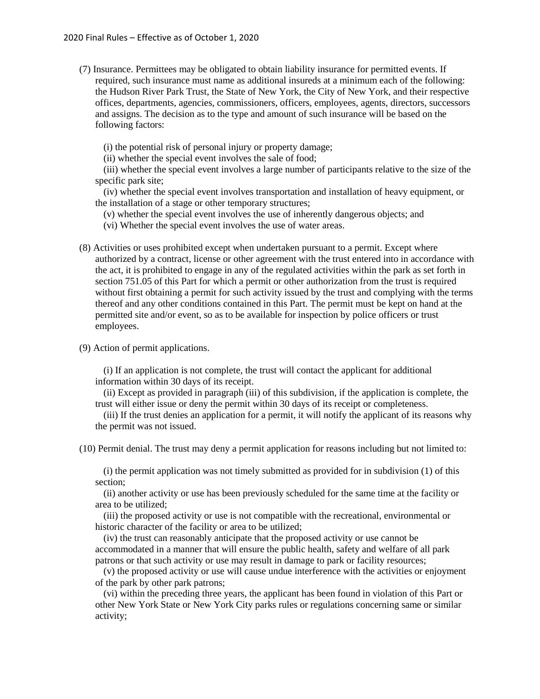(7) Insurance. Permittees may be obligated to obtain liability insurance for permitted events. If required, such insurance must name as additional insureds at a minimum each of the following: the Hudson River Park Trust, the State of New York, the City of New York, and their respective offices, departments, agencies, commissioners, officers, employees, agents, directors, successors and assigns. The decision as to the type and amount of such insurance will be based on the following factors:

(i) the potential risk of personal injury or property damage;

(ii) whether the special event involves the sale of food;

(iii) whether the special event involves a large number of participants relative to the size of the specific park site;

(iv) whether the special event involves transportation and installation of heavy equipment, or the installation of a stage or other temporary structures;

(v) whether the special event involves the use of inherently dangerous objects; and

(vi) Whether the special event involves the use of water areas.

- (8) Activities or uses prohibited except when undertaken pursuant to a permit. Except where authorized by a contract, license or other agreement with the trust entered into in accordance with the act, it is prohibited to engage in any of the regulated activities within the park as set forth in section 751.05 of this Part for which a permit or other authorization from the trust is required without first obtaining a permit for such activity issued by the trust and complying with the terms thereof and any other conditions contained in this Part. The permit must be kept on hand at the permitted site and/or event, so as to be available for inspection by police officers or trust employees.
- (9) Action of permit applications.

(i) If an application is not complete, the trust will contact the applicant for additional information within 30 days of its receipt.

(ii) Except as provided in paragraph (iii) of this subdivision, if the application is complete, the trust will either issue or deny the permit within 30 days of its receipt or completeness.

(iii) If the trust denies an application for a permit, it will notify the applicant of its reasons why the permit was not issued.

(10) Permit denial. The trust may deny a permit application for reasons including but not limited to:

(i) the permit application was not timely submitted as provided for in subdivision (1) of this section;

(ii) another activity or use has been previously scheduled for the same time at the facility or area to be utilized;

(iii) the proposed activity or use is not compatible with the recreational, environmental or historic character of the facility or area to be utilized;

(iv) the trust can reasonably anticipate that the proposed activity or use cannot be accommodated in a manner that will ensure the public health, safety and welfare of all park patrons or that such activity or use may result in damage to park or facility resources;

(v) the proposed activity or use will cause undue interference with the activities or enjoyment of the park by other park patrons;

(vi) within the preceding three years, the applicant has been found in violation of this Part or other New York State or New York City parks rules or regulations concerning same or similar activity;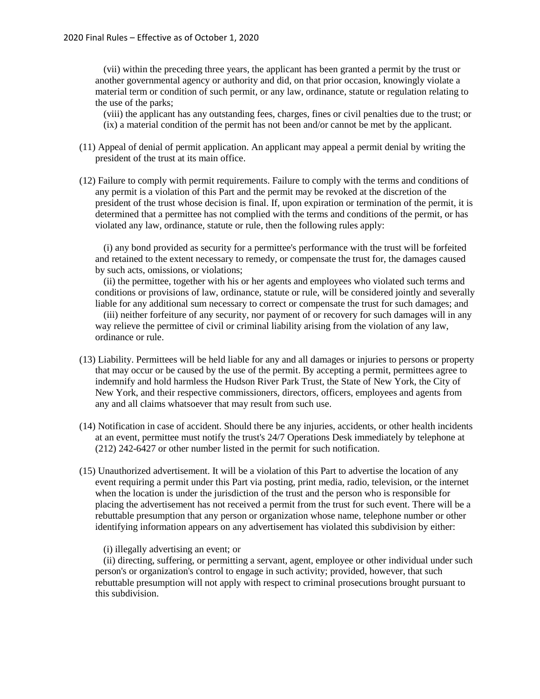(vii) within the preceding three years, the applicant has been granted a permit by the trust or another governmental agency or authority and did, on that prior occasion, knowingly violate a material term or condition of such permit, or any law, ordinance, statute or regulation relating to the use of the parks;

(viii) the applicant has any outstanding fees, charges, fines or civil penalties due to the trust; or (ix) a material condition of the permit has not been and/or cannot be met by the applicant.

- (11) Appeal of denial of permit application. An applicant may appeal a permit denial by writing the president of the trust at its main office.
- (12) Failure to comply with permit requirements. Failure to comply with the terms and conditions of any permit is a violation of this Part and the permit may be revoked at the discretion of the president of the trust whose decision is final. If, upon expiration or termination of the permit, it is determined that a permittee has not complied with the terms and conditions of the permit, or has violated any law, ordinance, statute or rule, then the following rules apply:

(i) any bond provided as security for a permittee's performance with the trust will be forfeited and retained to the extent necessary to remedy, or compensate the trust for, the damages caused by such acts, omissions, or violations;

(ii) the permittee, together with his or her agents and employees who violated such terms and conditions or provisions of law, ordinance, statute or rule, will be considered jointly and severally liable for any additional sum necessary to correct or compensate the trust for such damages; and

(iii) neither forfeiture of any security, nor payment of or recovery for such damages will in any way relieve the permittee of civil or criminal liability arising from the violation of any law, ordinance or rule.

- (13) Liability. Permittees will be held liable for any and all damages or injuries to persons or property that may occur or be caused by the use of the permit. By accepting a permit, permittees agree to indemnify and hold harmless the Hudson River Park Trust, the State of New York, the City of New York, and their respective commissioners, directors, officers, employees and agents from any and all claims whatsoever that may result from such use.
- (14) Notification in case of accident. Should there be any injuries, accidents, or other health incidents at an event, permittee must notify the trust's 24/7 Operations Desk immediately by telephone at (212) 242-6427 or other number listed in the permit for such notification.
- (15) Unauthorized advertisement. It will be a violation of this Part to advertise the location of any event requiring a permit under this Part via posting, print media, radio, television, or the internet when the location is under the jurisdiction of the trust and the person who is responsible for placing the advertisement has not received a permit from the trust for such event. There will be a rebuttable presumption that any person or organization whose name, telephone number or other identifying information appears on any advertisement has violated this subdivision by either:

# (i) illegally advertising an event; or

(ii) directing, suffering, or permitting a servant, agent, employee or other individual under such person's or organization's control to engage in such activity; provided, however, that such rebuttable presumption will not apply with respect to criminal prosecutions brought pursuant to this subdivision.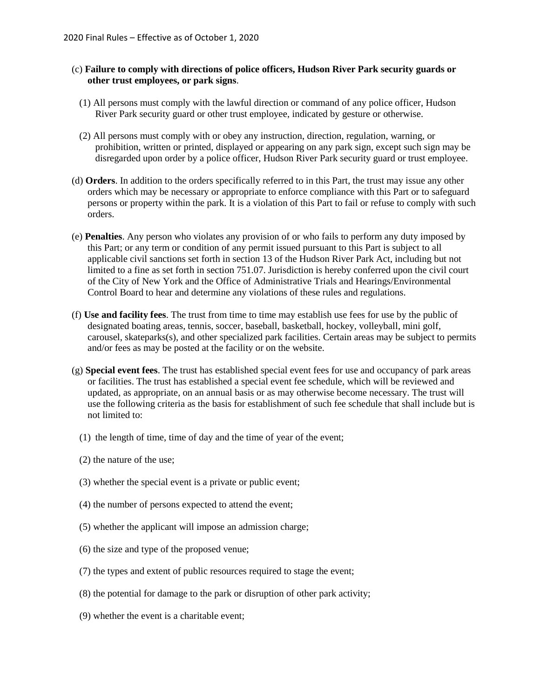- (c) **Failure to comply with directions of police officers, Hudson River Park security guards or other trust employees, or park signs**.
	- (1) All persons must comply with the lawful direction or command of any police officer, Hudson River Park security guard or other trust employee, indicated by gesture or otherwise.
	- (2) All persons must comply with or obey any instruction, direction, regulation, warning, or prohibition, written or printed, displayed or appearing on any park sign, except such sign may be disregarded upon order by a police officer, Hudson River Park security guard or trust employee.
- (d) **Orders**. In addition to the orders specifically referred to in this Part, the trust may issue any other orders which may be necessary or appropriate to enforce compliance with this Part or to safeguard persons or property within the park. It is a violation of this Part to fail or refuse to comply with such orders.
- (e) **Penalties**. Any person who violates any provision of or who fails to perform any duty imposed by this Part; or any term or condition of any permit issued pursuant to this Part is subject to all applicable civil sanctions set forth in section 13 of the Hudson River Park Act, including but not limited to a fine as set forth in section 751.07. Jurisdiction is hereby conferred upon the civil court of the City of New York and the Office of Administrative Trials and Hearings/Environmental Control Board to hear and determine any violations of these rules and regulations.
- (f) **Use and facility fees**. The trust from time to time may establish use fees for use by the public of designated boating areas, tennis, soccer, baseball, basketball, hockey, volleyball, mini golf, carousel, skateparks(s), and other specialized park facilities. Certain areas may be subject to permits and/or fees as may be posted at the facility or on the website.
- (g) **Special event fees**. The trust has established special event fees for use and occupancy of park areas or facilities. The trust has established a special event fee schedule, which will be reviewed and updated, as appropriate, on an annual basis or as may otherwise become necessary. The trust will use the following criteria as the basis for establishment of such fee schedule that shall include but is not limited to:
	- (1) the length of time, time of day and the time of year of the event;
	- (2) the nature of the use;
	- (3) whether the special event is a private or public event;
	- (4) the number of persons expected to attend the event;
	- (5) whether the applicant will impose an admission charge;
	- (6) the size and type of the proposed venue;
	- (7) the types and extent of public resources required to stage the event;
	- (8) the potential for damage to the park or disruption of other park activity;
	- (9) whether the event is a charitable event;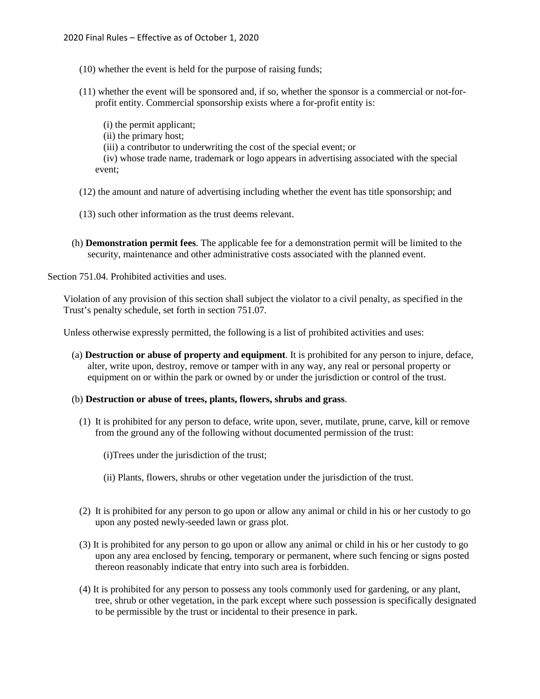- (10) whether the event is held for the purpose of raising funds;
- (11) whether the event will be sponsored and, if so, whether the sponsor is a commercial or not-forprofit entity. Commercial sponsorship exists where a for-profit entity is:
	- (i) the permit applicant;
	- (ii) the primary host;
	- (iii) a contributor to underwriting the cost of the special event; or
	- (iv) whose trade name, trademark or logo appears in advertising associated with the special event;
- (12) the amount and nature of advertising including whether the event has title sponsorship; and
- (13) such other information as the trust deems relevant.
- (h) **Demonstration permit fees**. The applicable fee for a demonstration permit will be limited to the security, maintenance and other administrative costs associated with the planned event.

Section 751.04. Prohibited activities and uses.

Violation of any provision of this section shall subject the violator to a civil penalty, as specified in the Trust's penalty schedule, set forth in section 751.07.

Unless otherwise expressly permitted, the following is a list of prohibited activities and uses:

(a) **Destruction or abuse of property and equipment**. It is prohibited for any person to injure, deface, alter, write upon, destroy, remove or tamper with in any way, any real or personal property or equipment on or within the park or owned by or under the jurisdiction or control of the trust.

#### (b) **Destruction or abuse of trees, plants, flowers, shrubs and grass**.

- (1) It is prohibited for any person to deface, write upon, sever, mutilate, prune, carve, kill or remove from the ground any of the following without documented permission of the trust:
	- (i)Trees under the jurisdiction of the trust;
	- (ii) Plants, flowers, shrubs or other vegetation under the jurisdiction of the trust.
- (2) It is prohibited for any person to go upon or allow any animal or child in his or her custody to go upon any posted newly-seeded lawn or grass plot.
- (3) It is prohibited for any person to go upon or allow any animal or child in his or her custody to go upon any area enclosed by fencing, temporary or permanent, where such fencing or signs posted thereon reasonably indicate that entry into such area is forbidden.
- (4) It is prohibited for any person to possess any tools commonly used for gardening, or any plant, tree, shrub or other vegetation, in the park except where such possession is specifically designated to be permissible by the trust or incidental to their presence in park.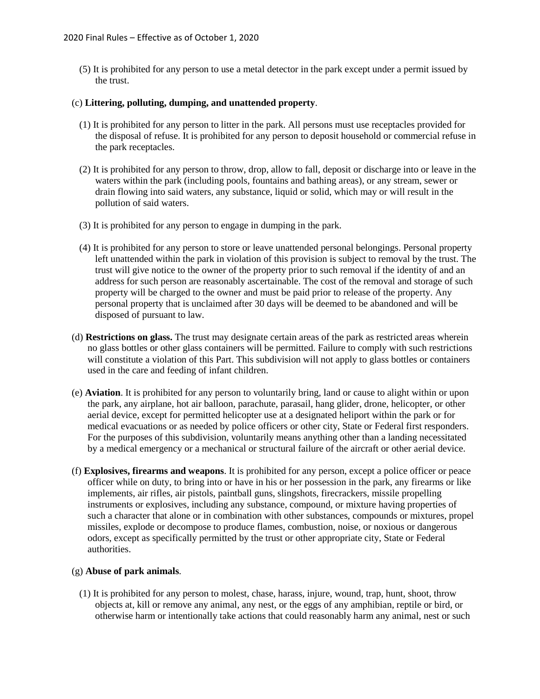(5) It is prohibited for any person to use a metal detector in the park except under a permit issued by the trust.

## (c) **Littering, polluting, dumping, and unattended property**.

- (1) It is prohibited for any person to litter in the park. All persons must use receptacles provided for the disposal of refuse. It is prohibited for any person to deposit household or commercial refuse in the park receptacles.
- (2) It is prohibited for any person to throw, drop, allow to fall, deposit or discharge into or leave in the waters within the park (including pools, fountains and bathing areas), or any stream, sewer or drain flowing into said waters, any substance, liquid or solid, which may or will result in the pollution of said waters.
- (3) It is prohibited for any person to engage in dumping in the park.
- (4) It is prohibited for any person to store or leave unattended personal belongings. Personal property left unattended within the park in violation of this provision is subject to removal by the trust. The trust will give notice to the owner of the property prior to such removal if the identity of and an address for such person are reasonably ascertainable. The cost of the removal and storage of such property will be charged to the owner and must be paid prior to release of the property. Any personal property that is unclaimed after 30 days will be deemed to be abandoned and will be disposed of pursuant to law.
- (d) **Restrictions on glass.** The trust may designate certain areas of the park as restricted areas wherein no glass bottles or other glass containers will be permitted. Failure to comply with such restrictions will constitute a violation of this Part. This subdivision will not apply to glass bottles or containers used in the care and feeding of infant children.
- (e) **Aviation**. It is prohibited for any person to voluntarily bring, land or cause to alight within or upon the park, any airplane, hot air balloon, parachute, parasail, hang glider, drone, helicopter, or other aerial device, except for permitted helicopter use at a designated heliport within the park or for medical evacuations or as needed by police officers or other city, State or Federal first responders. For the purposes of this subdivision, voluntarily means anything other than a landing necessitated by a medical emergency or a mechanical or structural failure of the aircraft or other aerial device.
- (f) **Explosives, firearms and weapons**. It is prohibited for any person, except a police officer or peace officer while on duty, to bring into or have in his or her possession in the park, any firearms or like implements, air rifles, air pistols, paintball guns, slingshots, firecrackers, missile propelling instruments or explosives, including any substance, compound, or mixture having properties of such a character that alone or in combination with other substances, compounds or mixtures, propel missiles, explode or decompose to produce flames, combustion, noise, or noxious or dangerous odors, except as specifically permitted by the trust or other appropriate city, State or Federal authorities.

### (g) **Abuse of park animals**.

(1) It is prohibited for any person to molest, chase, harass, injure, wound, trap, hunt, shoot, throw objects at, kill or remove any animal, any nest, or the eggs of any amphibian, reptile or bird, or otherwise harm or intentionally take actions that could reasonably harm any animal, nest or such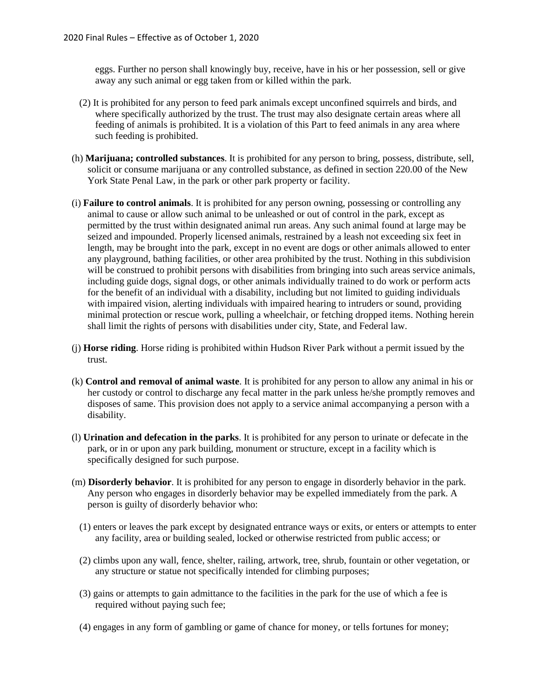eggs. Further no person shall knowingly buy, receive, have in his or her possession, sell or give away any such animal or egg taken from or killed within the park.

- (2) It is prohibited for any person to feed park animals except unconfined squirrels and birds, and where specifically authorized by the trust. The trust may also designate certain areas where all feeding of animals is prohibited. It is a violation of this Part to feed animals in any area where such feeding is prohibited.
- (h) **Marijuana; controlled substances**. It is prohibited for any person to bring, possess, distribute, sell, solicit or consume marijuana or any controlled substance, as defined in section 220.00 of the New York State Penal Law, in the park or other park property or facility.
- (i) **Failure to control animals**. It is prohibited for any person owning, possessing or controlling any animal to cause or allow such animal to be unleashed or out of control in the park, except as permitted by the trust within designated animal run areas. Any such animal found at large may be seized and impounded. Properly licensed animals, restrained by a leash not exceeding six feet in length, may be brought into the park, except in no event are dogs or other animals allowed to enter any playground, bathing facilities, or other area prohibited by the trust. Nothing in this subdivision will be construed to prohibit persons with disabilities from bringing into such areas service animals, including guide dogs, signal dogs, or other animals individually trained to do work or perform acts for the benefit of an individual with a disability, including but not limited to guiding individuals with impaired vision, alerting individuals with impaired hearing to intruders or sound, providing minimal protection or rescue work, pulling a wheelchair, or fetching dropped items. Nothing herein shall limit the rights of persons with disabilities under city, State, and Federal law.
- (j) **Horse riding**. Horse riding is prohibited within Hudson River Park without a permit issued by the trust.
- (k) **Control and removal of animal waste**. It is prohibited for any person to allow any animal in his or her custody or control to discharge any fecal matter in the park unless he/she promptly removes and disposes of same. This provision does not apply to a service animal accompanying a person with a disability.
- (l) **Urination and defecation in the parks**. It is prohibited for any person to urinate or defecate in the park, or in or upon any park building, monument or structure, except in a facility which is specifically designed for such purpose.
- (m) **Disorderly behavior**. It is prohibited for any person to engage in disorderly behavior in the park. Any person who engages in disorderly behavior may be expelled immediately from the park. A person is guilty of disorderly behavior who:
	- (1) enters or leaves the park except by designated entrance ways or exits, or enters or attempts to enter any facility, area or building sealed, locked or otherwise restricted from public access; or
	- (2) climbs upon any wall, fence, shelter, railing, artwork, tree, shrub, fountain or other vegetation, or any structure or statue not specifically intended for climbing purposes;
	- (3) gains or attempts to gain admittance to the facilities in the park for the use of which a fee is required without paying such fee;
	- (4) engages in any form of gambling or game of chance for money, or tells fortunes for money;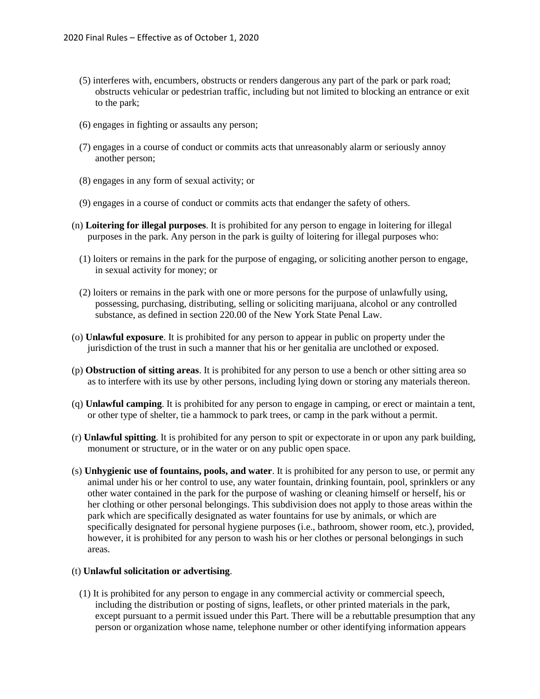- (5) interferes with, encumbers, obstructs or renders dangerous any part of the park or park road; obstructs vehicular or pedestrian traffic, including but not limited to blocking an entrance or exit to the park;
- (6) engages in fighting or assaults any person;
- (7) engages in a course of conduct or commits acts that unreasonably alarm or seriously annoy another person;
- (8) engages in any form of sexual activity; or
- (9) engages in a course of conduct or commits acts that endanger the safety of others.
- (n) **Loitering for illegal purposes**. It is prohibited for any person to engage in loitering for illegal purposes in the park. Any person in the park is guilty of loitering for illegal purposes who:
	- (1) loiters or remains in the park for the purpose of engaging, or soliciting another person to engage, in sexual activity for money; or
	- (2) loiters or remains in the park with one or more persons for the purpose of unlawfully using, possessing, purchasing, distributing, selling or soliciting marijuana, alcohol or any controlled substance, as defined in section 220.00 of the New York State Penal Law.
- (o) **Unlawful exposure**. It is prohibited for any person to appear in public on property under the jurisdiction of the trust in such a manner that his or her genitalia are unclothed or exposed.
- (p) **Obstruction of sitting areas**. It is prohibited for any person to use a bench or other sitting area so as to interfere with its use by other persons, including lying down or storing any materials thereon.
- (q) **Unlawful camping**. It is prohibited for any person to engage in camping, or erect or maintain a tent, or other type of shelter, tie a hammock to park trees, or camp in the park without a permit.
- (r) **Unlawful spitting**. It is prohibited for any person to spit or expectorate in or upon any park building, monument or structure, or in the water or on any public open space.
- (s) **Unhygienic use of fountains, pools, and water**. It is prohibited for any person to use, or permit any animal under his or her control to use, any water fountain, drinking fountain, pool, sprinklers or any other water contained in the park for the purpose of washing or cleaning himself or herself, his or her clothing or other personal belongings. This subdivision does not apply to those areas within the park which are specifically designated as water fountains for use by animals, or which are specifically designated for personal hygiene purposes (i.e., bathroom, shower room, etc.), provided, however, it is prohibited for any person to wash his or her clothes or personal belongings in such areas.

#### (t) **Unlawful solicitation or advertising**.

(1) It is prohibited for any person to engage in any commercial activity or commercial speech, including the distribution or posting of signs, leaflets, or other printed materials in the park, except pursuant to a permit issued under this Part. There will be a rebuttable presumption that any person or organization whose name, telephone number or other identifying information appears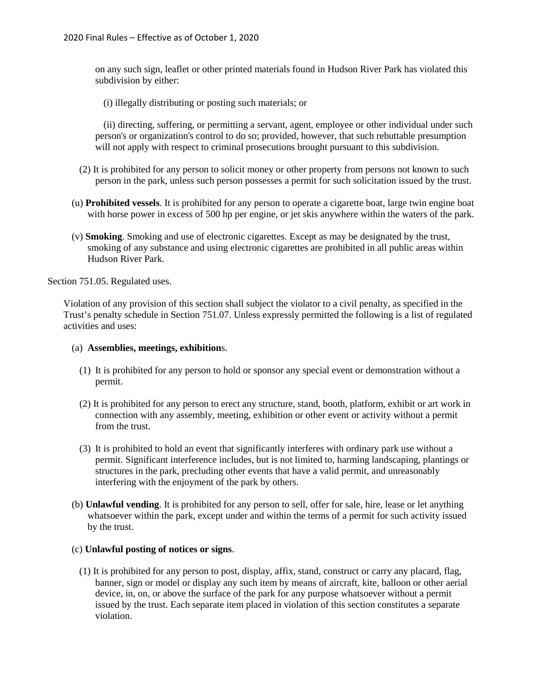on any such sign, leaflet or other printed materials found in Hudson River Park has violated this subdivision by either:

(i) illegally distributing or posting such materials; or

(ii) directing, suffering, or permitting a servant, agent, employee or other individual under such person's or organization's control to do so; provided, however, that such rebuttable presumption will not apply with respect to criminal prosecutions brought pursuant to this subdivision.

- (2) It is prohibited for any person to solicit money or other property from persons not known to such person in the park, unless such person possesses a permit for such solicitation issued by the trust.
- (u) **Prohibited vessels**. It is prohibited for any person to operate a cigarette boat, large twin engine boat with horse power in excess of 500 hp per engine, or jet skis anywhere within the waters of the park.
- (v) **Smoking**. Smoking and use of electronic cigarettes. Except as may be designated by the trust, smoking of any substance and using electronic cigarettes are prohibited in all public areas within Hudson River Park.

Section 751.05. Regulated uses.

Violation of any provision of this section shall subject the violator to a civil penalty, as specified in the Trust's penalty schedule in Section 751.07. Unless expressly permitted the following is a list of regulated activities and uses:

#### (a) **Assemblies, meetings, exhibition**s.

- (1) It is prohibited for any person to hold or sponsor any special event or demonstration without a permit.
- (2) It is prohibited for any person to erect any structure, stand, booth, platform, exhibit or art work in connection with any assembly, meeting, exhibition or other event or activity without a permit from the trust.
- (3) It is prohibited to hold an event that significantly interferes with ordinary park use without a permit. Significant interference includes, but is not limited to, harming landscaping, plantings or structures in the park, precluding other events that have a valid permit, and unreasonably interfering with the enjoyment of the park by others.
- (b) **Unlawful vending**. It is prohibited for any person to sell, offer for sale, hire, lease or let anything whatsoever within the park, except under and within the terms of a permit for such activity issued by the trust.

### (c) **Unlawful posting of notices or signs**.

(1) It is prohibited for any person to post, display, affix, stand, construct or carry any placard, flag, banner, sign or model or display any such item by means of aircraft, kite, balloon or other aerial device, in, on, or above the surface of the park for any purpose whatsoever without a permit issued by the trust. Each separate item placed in violation of this section constitutes a separate violation.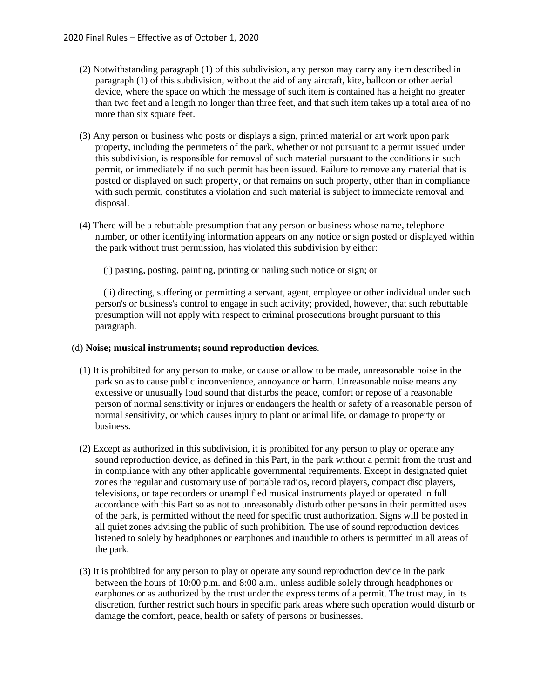- (2) Notwithstanding paragraph (1) of this subdivision, any person may carry any item described in paragraph (1) of this subdivision, without the aid of any aircraft, kite, balloon or other aerial device, where the space on which the message of such item is contained has a height no greater than two feet and a length no longer than three feet, and that such item takes up a total area of no more than six square feet.
- (3) Any person or business who posts or displays a sign, printed material or art work upon park property, including the perimeters of the park, whether or not pursuant to a permit issued under this subdivision, is responsible for removal of such material pursuant to the conditions in such permit, or immediately if no such permit has been issued. Failure to remove any material that is posted or displayed on such property, or that remains on such property, other than in compliance with such permit, constitutes a violation and such material is subject to immediate removal and disposal.
- (4) There will be a rebuttable presumption that any person or business whose name, telephone number, or other identifying information appears on any notice or sign posted or displayed within the park without trust permission, has violated this subdivision by either:
	- (i) pasting, posting, painting, printing or nailing such notice or sign; or

(ii) directing, suffering or permitting a servant, agent, employee or other individual under such person's or business's control to engage in such activity; provided, however, that such rebuttable presumption will not apply with respect to criminal prosecutions brought pursuant to this paragraph.

#### (d) **Noise; musical instruments; sound reproduction devices**.

- (1) It is prohibited for any person to make, or cause or allow to be made, unreasonable noise in the park so as to cause public inconvenience, annoyance or harm. Unreasonable noise means any excessive or unusually loud sound that disturbs the peace, comfort or repose of a reasonable person of normal sensitivity or injures or endangers the health or safety of a reasonable person of normal sensitivity, or which causes injury to plant or animal life, or damage to property or business.
- (2) Except as authorized in this subdivision, it is prohibited for any person to play or operate any sound reproduction device, as defined in this Part, in the park without a permit from the trust and in compliance with any other applicable governmental requirements. Except in designated quiet zones the regular and customary use of portable radios, record players, compact disc players, televisions, or tape recorders or unamplified musical instruments played or operated in full accordance with this Part so as not to unreasonably disturb other persons in their permitted uses of the park, is permitted without the need for specific trust authorization. Signs will be posted in all quiet zones advising the public of such prohibition. The use of sound reproduction devices listened to solely by headphones or earphones and inaudible to others is permitted in all areas of the park.
- (3) It is prohibited for any person to play or operate any sound reproduction device in the park between the hours of 10:00 p.m. and 8:00 a.m., unless audible solely through headphones or earphones or as authorized by the trust under the express terms of a permit. The trust may, in its discretion, further restrict such hours in specific park areas where such operation would disturb or damage the comfort, peace, health or safety of persons or businesses.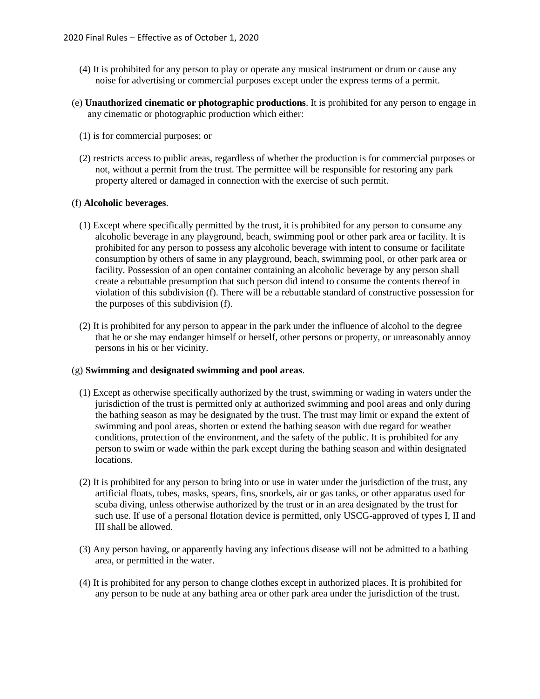- (4) It is prohibited for any person to play or operate any musical instrument or drum or cause any noise for advertising or commercial purposes except under the express terms of a permit.
- (e) **Unauthorized cinematic or photographic productions**. It is prohibited for any person to engage in any cinematic or photographic production which either:
	- (1) is for commercial purposes; or
	- (2) restricts access to public areas, regardless of whether the production is for commercial purposes or not, without a permit from the trust. The permittee will be responsible for restoring any park property altered or damaged in connection with the exercise of such permit.

#### (f) **Alcoholic beverages**.

- (1) Except where specifically permitted by the trust, it is prohibited for any person to consume any alcoholic beverage in any playground, beach, swimming pool or other park area or facility. It is prohibited for any person to possess any alcoholic beverage with intent to consume or facilitate consumption by others of same in any playground, beach, swimming pool, or other park area or facility. Possession of an open container containing an alcoholic beverage by any person shall create a rebuttable presumption that such person did intend to consume the contents thereof in violation of this subdivision (f). There will be a rebuttable standard of constructive possession for the purposes of this subdivision (f).
- (2) It is prohibited for any person to appear in the park under the influence of alcohol to the degree that he or she may endanger himself or herself, other persons or property, or unreasonably annoy persons in his or her vicinity.

### (g) **Swimming and designated swimming and pool areas**.

- (1) Except as otherwise specifically authorized by the trust, swimming or wading in waters under the jurisdiction of the trust is permitted only at authorized swimming and pool areas and only during the bathing season as may be designated by the trust. The trust may limit or expand the extent of swimming and pool areas, shorten or extend the bathing season with due regard for weather conditions, protection of the environment, and the safety of the public. It is prohibited for any person to swim or wade within the park except during the bathing season and within designated locations.
- (2) It is prohibited for any person to bring into or use in water under the jurisdiction of the trust, any artificial floats, tubes, masks, spears, fins, snorkels, air or gas tanks, or other apparatus used for scuba diving, unless otherwise authorized by the trust or in an area designated by the trust for such use. If use of a personal flotation device is permitted, only USCG-approved of types I, II and III shall be allowed.
- (3) Any person having, or apparently having any infectious disease will not be admitted to a bathing area, or permitted in the water.
- (4) It is prohibited for any person to change clothes except in authorized places. It is prohibited for any person to be nude at any bathing area or other park area under the jurisdiction of the trust.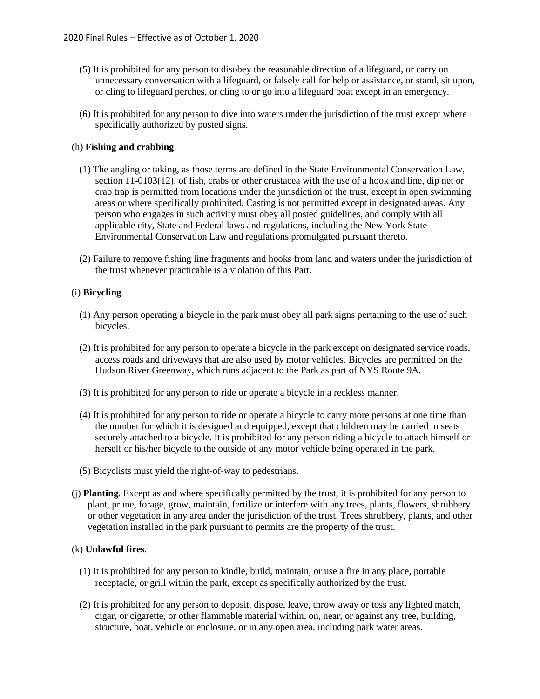- (5) It is prohibited for any person to disobey the reasonable direction of a lifeguard, or carry on unnecessary conversation with a lifeguard, or falsely call for help or assistance, or stand, sit upon, or cling to lifeguard perches, or cling to or go into a lifeguard boat except in an emergency.
- (6) It is prohibited for any person to dive into waters under the jurisdiction of the trust except where specifically authorized by posted signs.

### (h) **Fishing and crabbing**.

- (1) The angling or taking, as those terms are defined in the State Environmental Conservation Law, section 11-0103(12), of fish, crabs or other crustacea with the use of a hook and line, dip net or crab trap is permitted from locations under the jurisdiction of the trust, except in open swimming areas or where specifically prohibited. Casting is not permitted except in designated areas. Any person who engages in such activity must obey all posted guidelines, and comply with all applicable city, State and Federal laws and regulations, including the New York State Environmental Conservation Law and regulations promulgated pursuant thereto.
- (2) Failure to remove fishing line fragments and hooks from land and waters under the jurisdiction of the trust whenever practicable is a violation of this Part.

# (i) **Bicycling**.

- (1) Any person operating a bicycle in the park must obey all park signs pertaining to the use of such bicycles.
- (2) It is prohibited for any person to operate a bicycle in the park except on designated service roads, access roads and driveways that are also used by motor vehicles. Bicycles are permitted on the Hudson River Greenway, which runs adjacent to the Park as part of NYS Route 9A.
- (3) It is prohibited for any person to ride or operate a bicycle in a reckless manner.
- (4) It is prohibited for any person to ride or operate a bicycle to carry more persons at one time than the number for which it is designed and equipped, except that children may be carried in seats securely attached to a bicycle. It is prohibited for any person riding a bicycle to attach himself or herself or his/her bicycle to the outside of any motor vehicle being operated in the park.
- (5) Bicyclists must yield the right-of-way to pedestrians.
- (j) **Planting**. Except as and where specifically permitted by the trust, it is prohibited for any person to plant, prune, forage, grow, maintain, fertilize or interfere with any trees, plants, flowers, shrubbery or other vegetation in any area under the jurisdiction of the trust. Trees shrubbery, plants, and other vegetation installed in the park pursuant to permits are the property of the trust.

### (k) **Unlawful fires**.

- (1) It is prohibited for any person to kindle, build, maintain, or use a fire in any place, portable receptacle, or grill within the park, except as specifically authorized by the trust.
- (2) It is prohibited for any person to deposit, dispose, leave, throw away or toss any lighted match, cigar, or cigarette, or other flammable material within, on, near, or against any tree, building, structure, boat, vehicle or enclosure, or in any open area, including park water areas.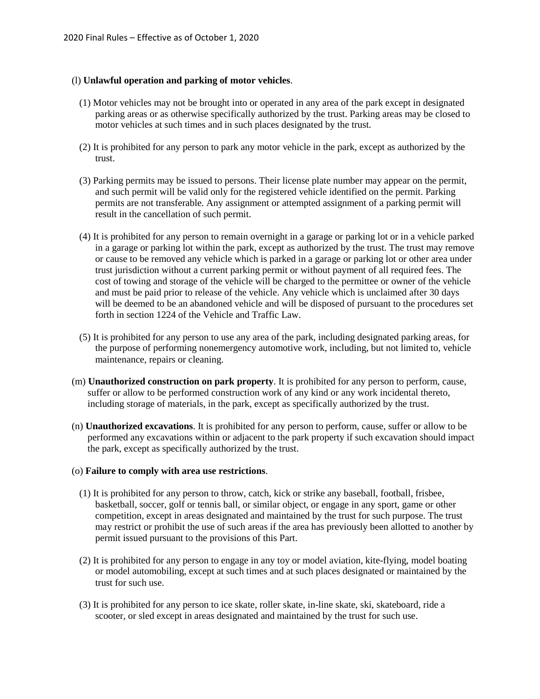# (l) **Unlawful operation and parking of motor vehicles**.

- (1) Motor vehicles may not be brought into or operated in any area of the park except in designated parking areas or as otherwise specifically authorized by the trust. Parking areas may be closed to motor vehicles at such times and in such places designated by the trust.
- (2) It is prohibited for any person to park any motor vehicle in the park, except as authorized by the trust.
- (3) Parking permits may be issued to persons. Their license plate number may appear on the permit, and such permit will be valid only for the registered vehicle identified on the permit. Parking permits are not transferable. Any assignment or attempted assignment of a parking permit will result in the cancellation of such permit.
- (4) It is prohibited for any person to remain overnight in a garage or parking lot or in a vehicle parked in a garage or parking lot within the park, except as authorized by the trust. The trust may remove or cause to be removed any vehicle which is parked in a garage or parking lot or other area under trust jurisdiction without a current parking permit or without payment of all required fees. The cost of towing and storage of the vehicle will be charged to the permittee or owner of the vehicle and must be paid prior to release of the vehicle. Any vehicle which is unclaimed after 30 days will be deemed to be an abandoned vehicle and will be disposed of pursuant to the procedures set forth in section 1224 of the Vehicle and Traffic Law.
- (5) It is prohibited for any person to use any area of the park, including designated parking areas, for the purpose of performing nonemergency automotive work, including, but not limited to, vehicle maintenance, repairs or cleaning.
- (m) **Unauthorized construction on park property**. It is prohibited for any person to perform, cause, suffer or allow to be performed construction work of any kind or any work incidental thereto, including storage of materials, in the park, except as specifically authorized by the trust.
- (n) **Unauthorized excavations**. It is prohibited for any person to perform, cause, suffer or allow to be performed any excavations within or adjacent to the park property if such excavation should impact the park, except as specifically authorized by the trust.

### (o) **Failure to comply with area use restrictions**.

- (1) It is prohibited for any person to throw, catch, kick or strike any baseball, football, frisbee, basketball, soccer, golf or tennis ball, or similar object, or engage in any sport, game or other competition, except in areas designated and maintained by the trust for such purpose. The trust may restrict or prohibit the use of such areas if the area has previously been allotted to another by permit issued pursuant to the provisions of this Part.
- (2) It is prohibited for any person to engage in any toy or model aviation, kite-flying, model boating or model automobiling, except at such times and at such places designated or maintained by the trust for such use.
- (3) It is prohibited for any person to ice skate, roller skate, in-line skate, ski, skateboard, ride a scooter, or sled except in areas designated and maintained by the trust for such use.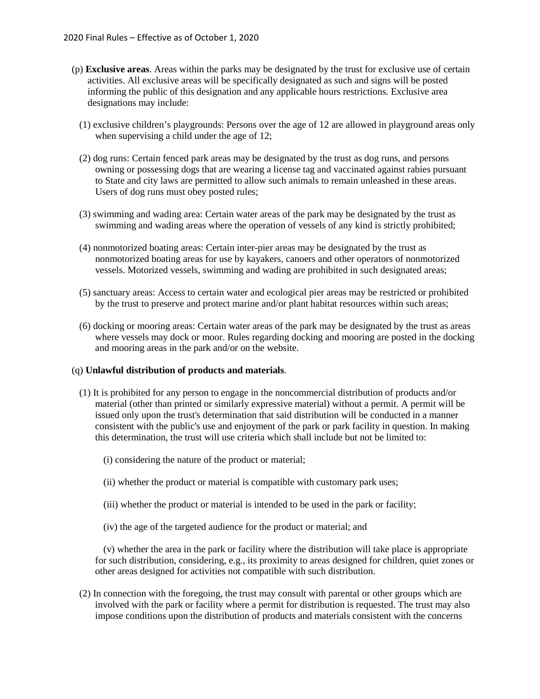- (p) **Exclusive areas**. Areas within the parks may be designated by the trust for exclusive use of certain activities. All exclusive areas will be specifically designated as such and signs will be posted informing the public of this designation and any applicable hours restrictions. Exclusive area designations may include:
	- (1) exclusive children's playgrounds: Persons over the age of 12 are allowed in playground areas only when supervising a child under the age of 12;
	- (2) dog runs: Certain fenced park areas may be designated by the trust as dog runs, and persons owning or possessing dogs that are wearing a license tag and vaccinated against rabies pursuant to State and city laws are permitted to allow such animals to remain unleashed in these areas. Users of dog runs must obey posted rules;
	- (3) swimming and wading area: Certain water areas of the park may be designated by the trust as swimming and wading areas where the operation of vessels of any kind is strictly prohibited;
	- (4) nonmotorized boating areas: Certain inter-pier areas may be designated by the trust as nonmotorized boating areas for use by kayakers, canoers and other operators of nonmotorized vessels. Motorized vessels, swimming and wading are prohibited in such designated areas;
	- (5) sanctuary areas: Access to certain water and ecological pier areas may be restricted or prohibited by the trust to preserve and protect marine and/or plant habitat resources within such areas;
	- (6) docking or mooring areas: Certain water areas of the park may be designated by the trust as areas where vessels may dock or moor. Rules regarding docking and mooring are posted in the docking and mooring areas in the park and/or on the website.

### (q) **Unlawful distribution of products and materials**.

- (1) It is prohibited for any person to engage in the noncommercial distribution of products and/or material (other than printed or similarly expressive material) without a permit. A permit will be issued only upon the trust's determination that said distribution will be conducted in a manner consistent with the public's use and enjoyment of the park or park facility in question. In making this determination, the trust will use criteria which shall include but not be limited to:
	- (i) considering the nature of the product or material;
	- (ii) whether the product or material is compatible with customary park uses;
	- (iii) whether the product or material is intended to be used in the park or facility;
	- (iv) the age of the targeted audience for the product or material; and

(v) whether the area in the park or facility where the distribution will take place is appropriate for such distribution, considering, e.g., its proximity to areas designed for children, quiet zones or other areas designed for activities not compatible with such distribution.

(2) In connection with the foregoing, the trust may consult with parental or other groups which are involved with the park or facility where a permit for distribution is requested. The trust may also impose conditions upon the distribution of products and materials consistent with the concerns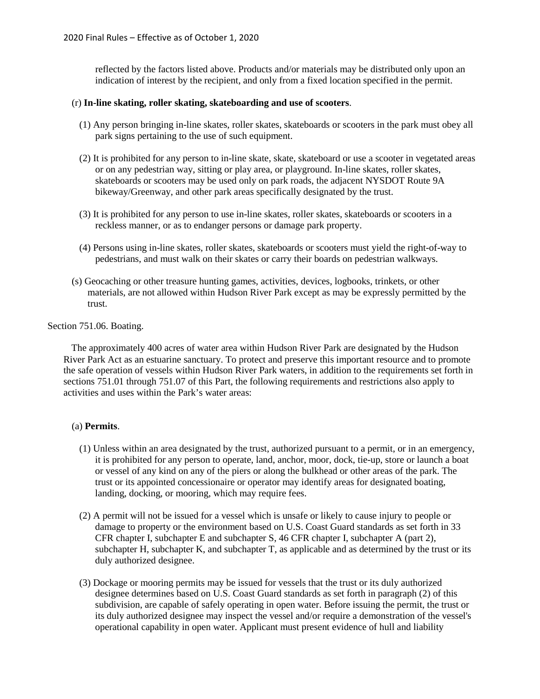reflected by the factors listed above. Products and/or materials may be distributed only upon an indication of interest by the recipient, and only from a fixed location specified in the permit.

# (r) **In-line skating, roller skating, skateboarding and use of scooters**.

- (1) Any person bringing in-line skates, roller skates, skateboards or scooters in the park must obey all park signs pertaining to the use of such equipment.
- (2) It is prohibited for any person to in-line skate, skate, skateboard or use a scooter in vegetated areas or on any pedestrian way, sitting or play area, or playground. In-line skates, roller skates, skateboards or scooters may be used only on park roads, the adjacent NYSDOT Route 9A bikeway/Greenway, and other park areas specifically designated by the trust.
- (3) It is prohibited for any person to use in-line skates, roller skates, skateboards or scooters in a reckless manner, or as to endanger persons or damage park property.
- (4) Persons using in-line skates, roller skates, skateboards or scooters must yield the right-of-way to pedestrians, and must walk on their skates or carry their boards on pedestrian walkways.
- (s) Geocaching or other treasure hunting games, activities, devices, logbooks, trinkets, or other materials, are not allowed within Hudson River Park except as may be expressly permitted by the trust.

Section 751.06. Boating.

The approximately 400 acres of water area within Hudson River Park are designated by the Hudson River Park Act as an estuarine sanctuary. To protect and preserve this important resource and to promote the safe operation of vessels within Hudson River Park waters, in addition to the requirements set forth in sections 751.01 through 751.07 of this Part, the following requirements and restrictions also apply to activities and uses within the Park's water areas:

### (a) **Permits**.

- (1) Unless within an area designated by the trust, authorized pursuant to a permit, or in an emergency, it is prohibited for any person to operate, land, anchor, moor, dock, tie-up, store or launch a boat or vessel of any kind on any of the piers or along the bulkhead or other areas of the park. The trust or its appointed concessionaire or operator may identify areas for designated boating, landing, docking, or mooring, which may require fees.
- (2) A permit will not be issued for a vessel which is unsafe or likely to cause injury to people or damage to property or the environment based on U.S. Coast Guard standards as set forth in 33 CFR chapter I, subchapter E and subchapter S, 46 CFR chapter I, subchapter A (part 2), subchapter H, subchapter K, and subchapter T, as applicable and as determined by the trust or its duly authorized designee.
- (3) Dockage or mooring permits may be issued for vessels that the trust or its duly authorized designee determines based on U.S. Coast Guard standards as set forth in paragraph (2) of this subdivision, are capable of safely operating in open water. Before issuing the permit, the trust or its duly authorized designee may inspect the vessel and/or require a demonstration of the vessel's operational capability in open water. Applicant must present evidence of hull and liability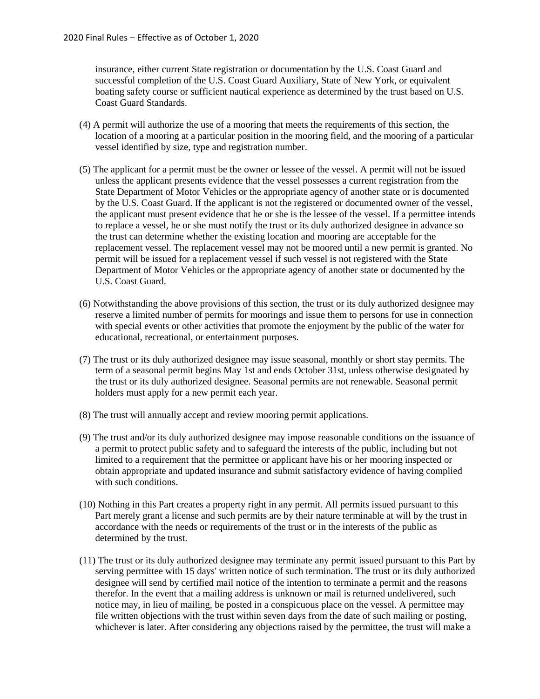insurance, either current State registration or documentation by the U.S. Coast Guard and successful completion of the U.S. Coast Guard Auxiliary, State of New York, or equivalent boating safety course or sufficient nautical experience as determined by the trust based on U.S. Coast Guard Standards.

- (4) A permit will authorize the use of a mooring that meets the requirements of this section, the location of a mooring at a particular position in the mooring field, and the mooring of a particular vessel identified by size, type and registration number.
- (5) The applicant for a permit must be the owner or lessee of the vessel. A permit will not be issued unless the applicant presents evidence that the vessel possesses a current registration from the State Department of Motor Vehicles or the appropriate agency of another state or is documented by the U.S. Coast Guard. If the applicant is not the registered or documented owner of the vessel, the applicant must present evidence that he or she is the lessee of the vessel. If a permittee intends to replace a vessel, he or she must notify the trust or its duly authorized designee in advance so the trust can determine whether the existing location and mooring are acceptable for the replacement vessel. The replacement vessel may not be moored until a new permit is granted. No permit will be issued for a replacement vessel if such vessel is not registered with the State Department of Motor Vehicles or the appropriate agency of another state or documented by the U.S. Coast Guard.
- (6) Notwithstanding the above provisions of this section, the trust or its duly authorized designee may reserve a limited number of permits for moorings and issue them to persons for use in connection with special events or other activities that promote the enjoyment by the public of the water for educational, recreational, or entertainment purposes.
- (7) The trust or its duly authorized designee may issue seasonal, monthly or short stay permits. The term of a seasonal permit begins May 1st and ends October 31st, unless otherwise designated by the trust or its duly authorized designee. Seasonal permits are not renewable. Seasonal permit holders must apply for a new permit each year.
- (8) The trust will annually accept and review mooring permit applications.
- (9) The trust and/or its duly authorized designee may impose reasonable conditions on the issuance of a permit to protect public safety and to safeguard the interests of the public, including but not limited to a requirement that the permittee or applicant have his or her mooring inspected or obtain appropriate and updated insurance and submit satisfactory evidence of having complied with such conditions.
- (10) Nothing in this Part creates a property right in any permit. All permits issued pursuant to this Part merely grant a license and such permits are by their nature terminable at will by the trust in accordance with the needs or requirements of the trust or in the interests of the public as determined by the trust.
- (11) The trust or its duly authorized designee may terminate any permit issued pursuant to this Part by serving permittee with 15 days' written notice of such termination. The trust or its duly authorized designee will send by certified mail notice of the intention to terminate a permit and the reasons therefor. In the event that a mailing address is unknown or mail is returned undelivered, such notice may, in lieu of mailing, be posted in a conspicuous place on the vessel. A permittee may file written objections with the trust within seven days from the date of such mailing or posting, whichever is later. After considering any objections raised by the permittee, the trust will make a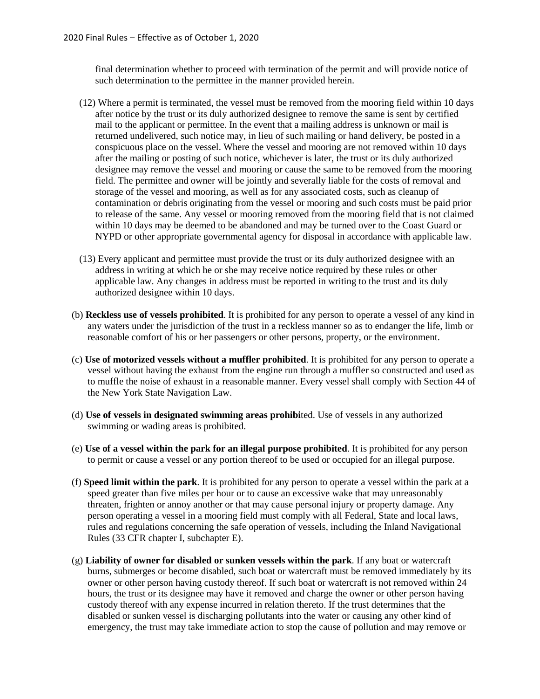final determination whether to proceed with termination of the permit and will provide notice of such determination to the permittee in the manner provided herein.

- (12) Where a permit is terminated, the vessel must be removed from the mooring field within 10 days after notice by the trust or its duly authorized designee to remove the same is sent by certified mail to the applicant or permittee. In the event that a mailing address is unknown or mail is returned undelivered, such notice may, in lieu of such mailing or hand delivery, be posted in a conspicuous place on the vessel. Where the vessel and mooring are not removed within 10 days after the mailing or posting of such notice, whichever is later, the trust or its duly authorized designee may remove the vessel and mooring or cause the same to be removed from the mooring field. The permittee and owner will be jointly and severally liable for the costs of removal and storage of the vessel and mooring, as well as for any associated costs, such as cleanup of contamination or debris originating from the vessel or mooring and such costs must be paid prior to release of the same. Any vessel or mooring removed from the mooring field that is not claimed within 10 days may be deemed to be abandoned and may be turned over to the Coast Guard or NYPD or other appropriate governmental agency for disposal in accordance with applicable law.
- (13) Every applicant and permittee must provide the trust or its duly authorized designee with an address in writing at which he or she may receive notice required by these rules or other applicable law. Any changes in address must be reported in writing to the trust and its duly authorized designee within 10 days.
- (b) **Reckless use of vessels prohibited**. It is prohibited for any person to operate a vessel of any kind in any waters under the jurisdiction of the trust in a reckless manner so as to endanger the life, limb or reasonable comfort of his or her passengers or other persons, property, or the environment.
- (c) **Use of motorized vessels without a muffler prohibited**. It is prohibited for any person to operate a vessel without having the exhaust from the engine run through a muffler so constructed and used as to muffle the noise of exhaust in a reasonable manner. Every vessel shall comply with Section 44 of the New York State Navigation Law.
- (d) **Use of vessels in designated swimming areas prohibi**ted. Use of vessels in any authorized swimming or wading areas is prohibited.
- (e) **Use of a vessel within the park for an illegal purpose prohibited**. It is prohibited for any person to permit or cause a vessel or any portion thereof to be used or occupied for an illegal purpose.
- (f) **Speed limit within the park**. It is prohibited for any person to operate a vessel within the park at a speed greater than five miles per hour or to cause an excessive wake that may unreasonably threaten, frighten or annoy another or that may cause personal injury or property damage. Any person operating a vessel in a mooring field must comply with all Federal, State and local laws, rules and regulations concerning the safe operation of vessels, including the Inland Navigational Rules (33 CFR chapter I, subchapter E).
- (g) **Liability of owner for disabled or sunken vessels within the park**. If any boat or watercraft burns, submerges or become disabled, such boat or watercraft must be removed immediately by its owner or other person having custody thereof. If such boat or watercraft is not removed within 24 hours, the trust or its designee may have it removed and charge the owner or other person having custody thereof with any expense incurred in relation thereto. If the trust determines that the disabled or sunken vessel is discharging pollutants into the water or causing any other kind of emergency, the trust may take immediate action to stop the cause of pollution and may remove or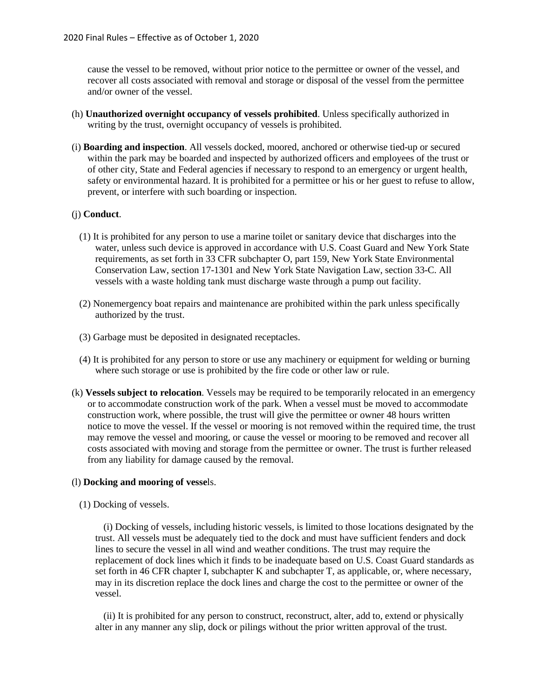cause the vessel to be removed, without prior notice to the permittee or owner of the vessel, and recover all costs associated with removal and storage or disposal of the vessel from the permittee and/or owner of the vessel.

- (h) **Unauthorized overnight occupancy of vessels prohibited**. Unless specifically authorized in writing by the trust, overnight occupancy of vessels is prohibited.
- (i) **Boarding and inspection**. All vessels docked, moored, anchored or otherwise tied-up or secured within the park may be boarded and inspected by authorized officers and employees of the trust or of other city, State and Federal agencies if necessary to respond to an emergency or urgent health, safety or environmental hazard. It is prohibited for a permittee or his or her guest to refuse to allow, prevent, or interfere with such boarding or inspection.

# (j) **Conduct**.

- (1) It is prohibited for any person to use a marine toilet or sanitary device that discharges into the water, unless such device is approved in accordance with U.S. Coast Guard and New York State requirements, as set forth in 33 CFR subchapter O, part 159, New York State Environmental Conservation Law, section 17-1301 and New York State Navigation Law, section 33-C. All vessels with a waste holding tank must discharge waste through a pump out facility.
- (2) Nonemergency boat repairs and maintenance are prohibited within the park unless specifically authorized by the trust.
- (3) Garbage must be deposited in designated receptacles.
- (4) It is prohibited for any person to store or use any machinery or equipment for welding or burning where such storage or use is prohibited by the fire code or other law or rule.
- (k) **Vessels subject to relocation**. Vessels may be required to be temporarily relocated in an emergency or to accommodate construction work of the park. When a vessel must be moved to accommodate construction work, where possible, the trust will give the permittee or owner 48 hours written notice to move the vessel. If the vessel or mooring is not removed within the required time, the trust may remove the vessel and mooring, or cause the vessel or mooring to be removed and recover all costs associated with moving and storage from the permittee or owner. The trust is further released from any liability for damage caused by the removal.

### (l) **Docking and mooring of vesse**ls.

(1) Docking of vessels.

(i) Docking of vessels, including historic vessels, is limited to those locations designated by the trust. All vessels must be adequately tied to the dock and must have sufficient fenders and dock lines to secure the vessel in all wind and weather conditions. The trust may require the replacement of dock lines which it finds to be inadequate based on U.S. Coast Guard standards as set forth in 46 CFR chapter I, subchapter K and subchapter T, as applicable, or, where necessary, may in its discretion replace the dock lines and charge the cost to the permittee or owner of the vessel.

(ii) It is prohibited for any person to construct, reconstruct, alter, add to, extend or physically alter in any manner any slip, dock or pilings without the prior written approval of the trust.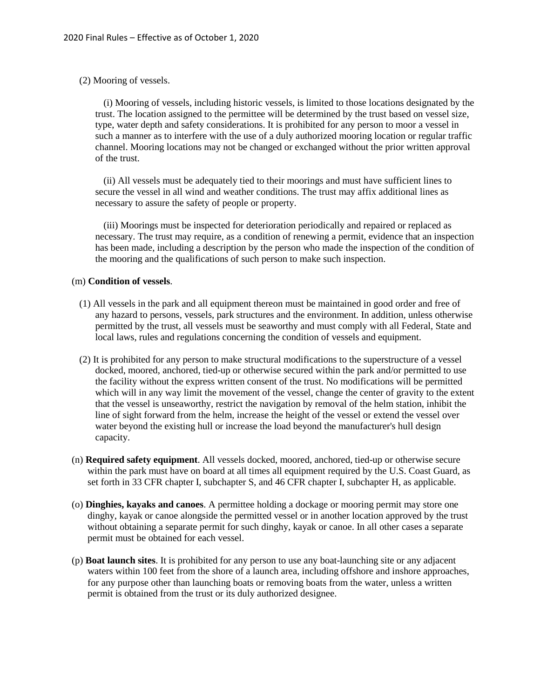(2) Mooring of vessels.

(i) Mooring of vessels, including historic vessels, is limited to those locations designated by the trust. The location assigned to the permittee will be determined by the trust based on vessel size, type, water depth and safety considerations. It is prohibited for any person to moor a vessel in such a manner as to interfere with the use of a duly authorized mooring location or regular traffic channel. Mooring locations may not be changed or exchanged without the prior written approval of the trust.

(ii) All vessels must be adequately tied to their moorings and must have sufficient lines to secure the vessel in all wind and weather conditions. The trust may affix additional lines as necessary to assure the safety of people or property.

(iii) Moorings must be inspected for deterioration periodically and repaired or replaced as necessary. The trust may require, as a condition of renewing a permit, evidence that an inspection has been made, including a description by the person who made the inspection of the condition of the mooring and the qualifications of such person to make such inspection.

#### (m) **Condition of vessels**.

- (1) All vessels in the park and all equipment thereon must be maintained in good order and free of any hazard to persons, vessels, park structures and the environment. In addition, unless otherwise permitted by the trust, all vessels must be seaworthy and must comply with all Federal, State and local laws, rules and regulations concerning the condition of vessels and equipment.
- (2) It is prohibited for any person to make structural modifications to the superstructure of a vessel docked, moored, anchored, tied-up or otherwise secured within the park and/or permitted to use the facility without the express written consent of the trust. No modifications will be permitted which will in any way limit the movement of the vessel, change the center of gravity to the extent that the vessel is unseaworthy, restrict the navigation by removal of the helm station, inhibit the line of sight forward from the helm, increase the height of the vessel or extend the vessel over water beyond the existing hull or increase the load beyond the manufacturer's hull design capacity.
- (n) **Required safety equipment**. All vessels docked, moored, anchored, tied-up or otherwise secure within the park must have on board at all times all equipment required by the U.S. Coast Guard, as set forth in 33 CFR chapter I, subchapter S, and 46 CFR chapter I, subchapter H, as applicable.
- (o) **Dinghies, kayaks and canoes**. A permittee holding a dockage or mooring permit may store one dinghy, kayak or canoe alongside the permitted vessel or in another location approved by the trust without obtaining a separate permit for such dinghy, kayak or canoe. In all other cases a separate permit must be obtained for each vessel.
- (p) **Boat launch sites**. It is prohibited for any person to use any boat-launching site or any adjacent waters within 100 feet from the shore of a launch area, including offshore and inshore approaches, for any purpose other than launching boats or removing boats from the water, unless a written permit is obtained from the trust or its duly authorized designee.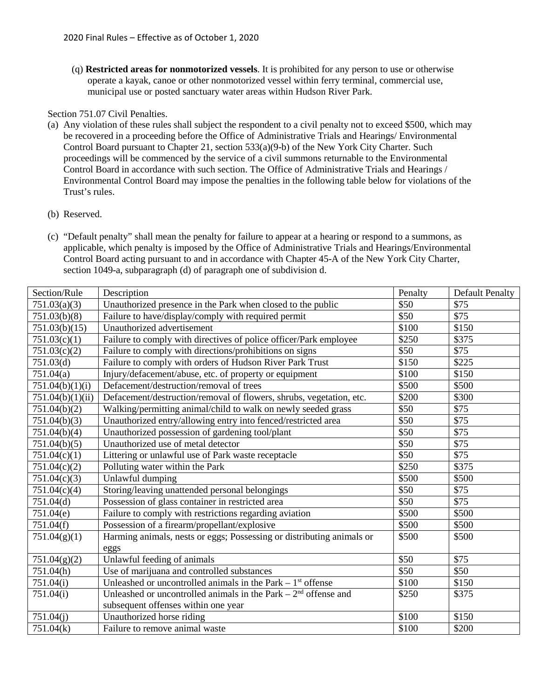(q) **Restricted areas for nonmotorized vessels**. It is prohibited for any person to use or otherwise operate a kayak, canoe or other nonmotorized vessel within ferry terminal, commercial use, municipal use or posted sanctuary water areas within Hudson River Park.

# Section 751.07 Civil Penalties.

- (a) Any violation of these rules shall subject the respondent to a civil penalty not to exceed \$500, which may be recovered in a proceeding before the Office of Administrative Trials and Hearings/ Environmental Control Board pursuant to Chapter 21, section 533(a)(9-b) of the New York City Charter. Such proceedings will be commenced by the service of a civil summons returnable to the Environmental Control Board in accordance with such section. The Office of Administrative Trials and Hearings / Environmental Control Board may impose the penalties in the following table below for violations of the Trust's rules.
- (b) Reserved.
- (c) "Default penalty" shall mean the penalty for failure to appear at a hearing or respond to a summons, as applicable, which penalty is imposed by the Office of Administrative Trials and Hearings/Environmental Control Board acting pursuant to and in accordance with Chapter 45-A of the New York City Charter, section 1049-a, subparagraph (d) of paragraph one of subdivision d.

| Section/Rule     | Description                                                           | Penalty | <b>Default Penalty</b> |
|------------------|-----------------------------------------------------------------------|---------|------------------------|
| 751.03(a)(3)     | Unauthorized presence in the Park when closed to the public           | \$50    | \$75                   |
| 751.03(b)(8)     | Failure to have/display/comply with required permit                   | \$50    | \$75                   |
| 751.03(b)(15)    | Unauthorized advertisement                                            | \$100   | \$150                  |
| 751.03(c)(1)     | Failure to comply with directives of police officer/Park employee     | \$250   | \$375                  |
| 751.03(c)(2)     | Failure to comply with directions/prohibitions on signs               | \$50    | \$75                   |
| 751.03(d)        | Failure to comply with orders of Hudson River Park Trust              | \$150   | \$225                  |
| 751.04(a)        | Injury/defacement/abuse, etc. of property or equipment                | \$100   | \$150                  |
| 751.04(b)(1)(i)  | Defacement/destruction/removal of trees                               | \$500   | \$500                  |
| 751.04(b)(1)(ii) | Defacement/destruction/removal of flowers, shrubs, vegetation, etc.   | \$200   | \$300                  |
| 751.04(b)(2)     | Walking/permitting animal/child to walk on newly seeded grass         | \$50    | \$75                   |
| 751.04(b)(3)     | Unauthorized entry/allowing entry into fenced/restricted area         | \$50    | \$75                   |
| 751.04(b)(4)     | Unauthorized possession of gardening tool/plant                       | \$50    | $\overline{$75}$       |
| 751.04(b)(5)     | Unauthorized use of metal detector                                    | \$50    | \$75                   |
| 751.04(c)(1)     | Littering or unlawful use of Park waste receptacle                    | \$50    | \$75                   |
| 751.04(c)(2)     | Polluting water within the Park                                       | \$250   | \$375                  |
| 751.04(c)(3)     | Unlawful dumping                                                      | \$500   | \$500                  |
| 751.04(c)(4)     | Storing/leaving unattended personal belongings                        | \$50    | \$75                   |
| 751.04(d)        | Possession of glass container in restricted area                      | \$50    | \$75                   |
| 751.04(e)        | Failure to comply with restrictions regarding aviation                | \$500   | \$500                  |
| 751.04(f)        | Possession of a firearm/propellant/explosive                          | \$500   | \$500                  |
| 751.04(g)(1)     | Harming animals, nests or eggs; Possessing or distributing animals or | \$500   | \$500                  |
|                  | eggs                                                                  |         |                        |
| 751.04(g)(2)     | Unlawful feeding of animals                                           | \$50    | \$75                   |
| 751.04(h)        | Use of marijuana and controlled substances                            | \$50    | \$50                   |
| 751.04(i)        | Unleashed or uncontrolled animals in the Park $-1st$ offense          | \$100   | \$150                  |
| 751.04(i)        | Unleashed or uncontrolled animals in the Park $-2nd$ offense and      | \$250   | \$375                  |
|                  | subsequent offenses within one year                                   |         |                        |
| 751.04(i)        | Unauthorized horse riding                                             | \$100   | \$150                  |
| 751.04(k)        | Failure to remove animal waste                                        | \$100   | \$200                  |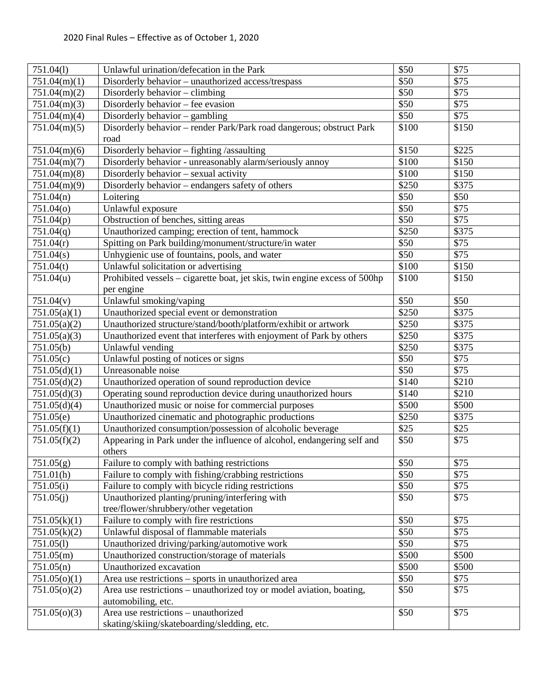| 751.04(1)    | Unlawful urination/defecation in the Park                                  | \$50              | \$75             |
|--------------|----------------------------------------------------------------------------|-------------------|------------------|
| 751.04(m)(1) | Disorderly behavior - unauthorized access/trespass                         | \$50              | \$75             |
| 751.04(m)(2) | $\overline{\text{Disorder}}$ ly behavior – climbing                        | $\overline{$}50$  | $\overline{$}75$ |
| 751.04(m)(3) | Disorderly behavior – fee evasion                                          | $\overline{$}50$  | \$75             |
| 751.04(m)(4) | Disorderly behavior - gambling                                             | \$50              | \$75             |
| 751.04(m)(5) | Disorderly behavior - render Park/Park road dangerous; obstruct Park       | \$100             | \$150            |
|              | road                                                                       |                   |                  |
| 751.04(m)(6) | Disorderly behavior - fighting /assaulting                                 | \$150             | \$225            |
| 751.04(m)(7) | Disorderly behavior - unreasonably alarm/seriously annoy                   | \$100             | \$150            |
| 751.04(m)(8) | Disorderly behavior - sexual activity                                      | \$100             | \$150            |
| 751.04(m)(9) | Disorderly behavior - endangers safety of others                           | \$250             | \$375            |
| 751.04(n)    | Loitering                                                                  | \$50              | \$50             |
| 751.04(o)    | Unlawful exposure                                                          | $\overline{$}50$  | \$75             |
| 751.04(p)    | Obstruction of benches, sitting areas                                      | \$50              | \$75             |
| 751.04(q)    | Unauthorized camping; erection of tent, hammock                            | \$250             | \$375            |
| 751.04(r)    | Spitting on Park building/monument/structure/in water                      | \$50              | \$75             |
| 751.04(s)    | Unhygienic use of fountains, pools, and water                              | \$50              | \$75             |
| 751.04(t)    | Unlawful solicitation or advertising                                       | \$100             | \$150            |
| 751.04(u)    | Prohibited vessels - cigarette boat, jet skis, twin engine excess of 500hp | \$100             | \$150            |
|              | per engine                                                                 |                   |                  |
| 751.04(v)    | Unlawful smoking/vaping                                                    | \$50              | \$50             |
| 751.05(a)(1) | Unauthorized special event or demonstration                                | \$250             | \$375            |
| 751.05(a)(2) | Unauthorized structure/stand/booth/platform/exhibit or artwork             | \$250             | \$375            |
| 751.05(a)(3) | Unauthorized event that interferes with enjoyment of Park by others        | \$250             | \$375            |
| 751.05(b)    | Unlawful vending                                                           | \$250             | \$375            |
| 751.05(c)    | Unlawful posting of notices or signs                                       | $\overline{$}50$  | \$75             |
| 751.05(d)(1) | Unreasonable noise                                                         | \$50              | $\sqrt{$75}$     |
| 751.05(d)(2) | Unauthorized operation of sound reproduction device                        | \$140             | \$210            |
| 751.05(d)(3) | Operating sound reproduction device during unauthorized hours              | \$140             | \$210            |
| 751.05(d)(4) | Unauthorized music or noise for commercial purposes                        | \$500             | \$500            |
| 751.05(e)    | Unauthorized cinematic and photographic productions                        | \$250             | \$375            |
| 751.05(f)(1) | Unauthorized consumption/possession of alcoholic beverage                  | \$25              | \$25             |
| 751.05(f)(2) | Appearing in Park under the influence of alcohol, endangering self and     | \$50              | \$75             |
|              | others                                                                     |                   |                  |
| 751.05(g)    | Failure to comply with bathing restrictions                                | \$50              | \$75             |
| 751.01(h)    | Failure to comply with fishing/crabbing restrictions                       | \$50              | \$75             |
| 751.05(i)    | Failure to comply with bicycle riding restrictions                         | \$50              | \$75             |
| 751.05(i)    | Unauthorized planting/pruning/interfering with                             | \$50              | \$75             |
|              | tree/flower/shrubbery/other vegetation                                     |                   |                  |
| 751.05(k)(1) | Failure to comply with fire restrictions                                   | \$50              | \$75             |
| 751.05(k)(2) | Unlawful disposal of flammable materials                                   | \$50              | \$75             |
| 751.05(l)    | Unauthorized driving/parking/automotive work                               | \$50              | \$75             |
| 751.05(m)    | Unauthorized construction/storage of materials                             | $\overline{$}500$ | \$500            |
| 751.05(n)    | Unauthorized excavation                                                    | \$500             | \$500            |
| 751.05(o)(1) | Area use restrictions – sports in unauthorized area                        | \$50              | \$75             |
| 751.05(o)(2) | Area use restrictions - unauthorized toy or model aviation, boating,       | \$50              | \$75             |
|              | automobiling, etc.                                                         |                   |                  |
| 751.05(o)(3) | Area use restrictions - unauthorized                                       | \$50              | \$75             |
|              | skating/skiing/skateboarding/sledding, etc.                                |                   |                  |